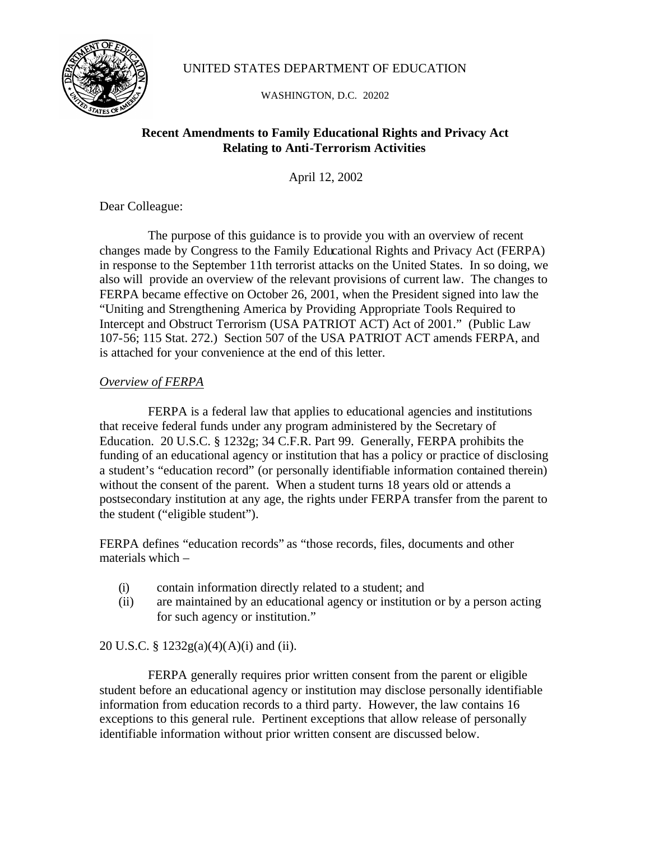

# UNITED STATES DEPARTMENT OF EDUCATION

WASHINGTON, D.C. 20202

# **Recent Amendments to Family Educational Rights and Privacy Act Relating to Anti-Terrorism Activities**

April 12, 2002

Dear Colleague:

The purpose of this guidance is to provide you with an overview of recent changes made by Congress to the Family Educational Rights and Privacy Act (FERPA) in response to the September 11th terrorist attacks on the United States. In so doing, we also will provide an overview of the relevant provisions of current law. The changes to FERPA became effective on October 26, 2001, when the President signed into law the "Uniting and Strengthening America by Providing Appropriate Tools Required to Intercept and Obstruct Terrorism (USA PATRIOT ACT) Act of 2001." (Public Law 107-56; 115 Stat. 272.) Section 507 of the USA PATRIOT ACT amends FERPA, and is attached for your convenience at the end of this letter.

# *Overview of FERPA*

FERPA is a federal law that applies to educational agencies and institutions that receive federal funds under any program administered by the Secretary of Education. 20 U.S.C. § 1232g; 34 C.F.R. Part 99. Generally, FERPA prohibits the funding of an educational agency or institution that has a policy or practice of disclosing a student's "education record" (or personally identifiable information contained therein) without the consent of the parent. When a student turns 18 years old or attends a postsecondary institution at any age, the rights under FERPA transfer from the parent to the student ("eligible student").

FERPA defines "education records" as "those records, files, documents and other materials which –

- (i) contain information directly related to a student; and
- (ii) are maintained by an educational agency or institution or by a person acting for such agency or institution."

# 20 U.S.C. § 1232g(a)(4)(A)(i) and (ii).

FERPA generally requires prior written consent from the parent or eligible student before an educational agency or institution may disclose personally identifiable information from education records to a third party. However, the law contains 16 exceptions to this general rule. Pertinent exceptions that allow release of personally identifiable information without prior written consent are discussed below.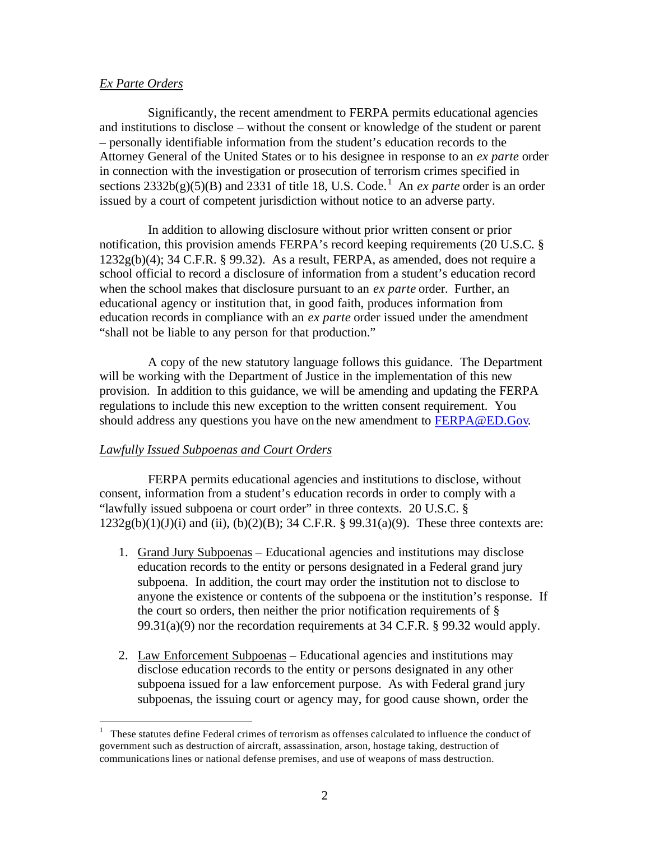### *Ex Parte Orders*

 $\overline{a}$ 

Significantly, the recent amendment to FERPA permits educational agencies and institutions to disclose – without the consent or knowledge of the student or parent – personally identifiable information from the student's education records to the Attorney General of the United States or to his designee in response to an *ex parte* order in connection with the investigation or prosecution of terrorism crimes specified in sections  $2332b(g)(5)(B)$  and  $2331$  of title 18, U.S. Code.<sup>1</sup> An *ex parte* order is an order issued by a court of competent jurisdiction without notice to an adverse party.

In addition to allowing disclosure without prior written consent or prior notification, this provision amends FERPA's record keeping requirements (20 U.S.C. §  $1232g(b)(4)$ ; 34 C.F.R. § 99.32). As a result, FERPA, as amended, does not require a school official to record a disclosure of information from a student's education record when the school makes that disclosure pursuant to an *ex parte* order. Further, an educational agency or institution that, in good faith, produces information from education records in compliance with an *ex parte* order issued under the amendment "shall not be liable to any person for that production."

A copy of the new statutory language follows this guidance. The Department will be working with the Department of Justice in the implementation of this new provision. In addition to this guidance, we will be amending and updating the FERPA regulations to include this new exception to the written consent requirement. You should address any questions you have on the new amendment to FERPA@ED.Gov.

### *Lawfully Issued Subpoenas and Court Orders*

FERPA permits educational agencies and institutions to disclose, without consent, information from a student's education records in order to comply with a "lawfully issued subpoena or court order" in three contexts. 20 U.S.C. §  $1232g(b)(1)(J)(i)$  and (ii), (b)(2)(B); 34 C.F.R. § 99.31(a)(9). These three contexts are:

- 1. Grand Jury Subpoenas Educational agencies and institutions may disclose education records to the entity or persons designated in a Federal grand jury subpoena. In addition, the court may order the institution not to disclose to anyone the existence or contents of the subpoena or the institution's response. If the court so orders, then neither the prior notification requirements of § 99.31(a)(9) nor the recordation requirements at 34 C.F.R. § 99.32 would apply.
- 2. Law Enforcement Subpoenas Educational agencies and institutions may disclose education records to the entity or persons designated in any other subpoena issued for a law enforcement purpose. As with Federal grand jury subpoenas, the issuing court or agency may, for good cause shown, order the

<sup>1</sup> These statutes define Federal crimes of terrorism as offenses calculated to influence the conduct of government such as destruction of aircraft, assassination, arson, hostage taking, destruction of communications lines or national defense premises, and use of weapons of mass destruction.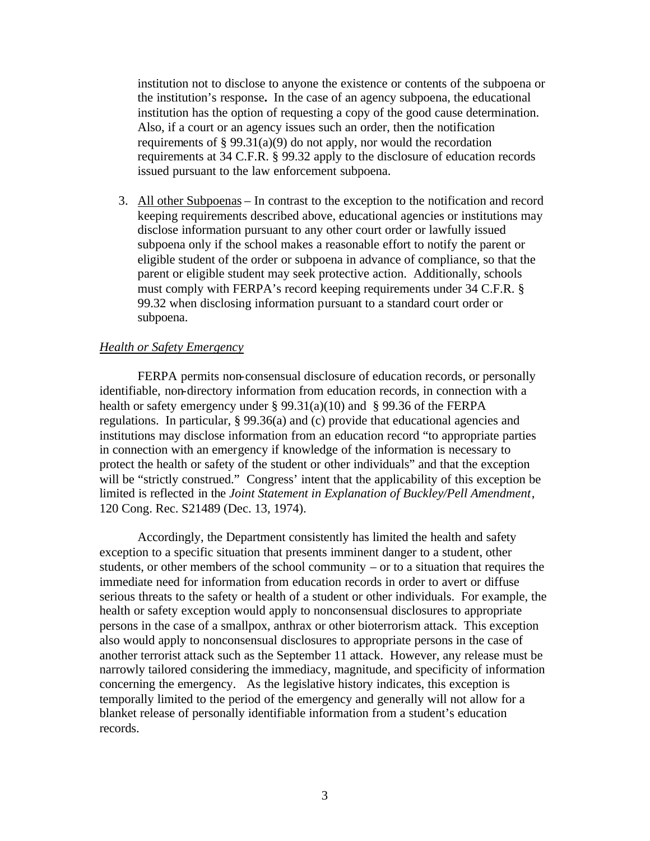institution not to disclose to anyone the existence or contents of the subpoena or the institution's response**.** In the case of an agency subpoena, the educational institution has the option of requesting a copy of the good cause determination. Also, if a court or an agency issues such an order, then the notification requirements of § 99.31(a)(9) do not apply, nor would the recordation requirements at 34 C.F.R. § 99.32 apply to the disclosure of education records issued pursuant to the law enforcement subpoena.

3. All other Subpoenas – In contrast to the exception to the notification and record keeping requirements described above, educational agencies or institutions may disclose information pursuant to any other court order or lawfully issued subpoena only if the school makes a reasonable effort to notify the parent or eligible student of the order or subpoena in advance of compliance, so that the parent or eligible student may seek protective action. Additionally, schools must comply with FERPA's record keeping requirements under 34 C.F.R. § 99.32 when disclosing information pursuant to a standard court order or subpoena.

### *Health or Safety Emergency*

FERPA permits non-consensual disclosure of education records, or personally identifiable, non-directory information from education records, in connection with a health or safety emergency under § 99.31(a)(10) and § 99.36 of the FERPA regulations. In particular, § 99.36(a) and (c) provide that educational agencies and institutions may disclose information from an education record "to appropriate parties in connection with an emergency if knowledge of the information is necessary to protect the health or safety of the student or other individuals" and that the exception will be "strictly construed." Congress' intent that the applicability of this exception be limited is reflected in the *Joint Statement in Explanation of Buckley/Pell Amendment*, 120 Cong. Rec. S21489 (Dec. 13, 1974).

Accordingly, the Department consistently has limited the health and safety exception to a specific situation that presents imminent danger to a student, other students, or other members of the school community – or to a situation that requires the immediate need for information from education records in order to avert or diffuse serious threats to the safety or health of a student or other individuals. For example, the health or safety exception would apply to nonconsensual disclosures to appropriate persons in the case of a smallpox, anthrax or other bioterrorism attack. This exception also would apply to nonconsensual disclosures to appropriate persons in the case of another terrorist attack such as the September 11 attack. However, any release must be narrowly tailored considering the immediacy, magnitude, and specificity of information concerning the emergency. As the legislative history indicates, this exception is temporally limited to the period of the emergency and generally will not allow for a blanket release of personally identifiable information from a student's education records.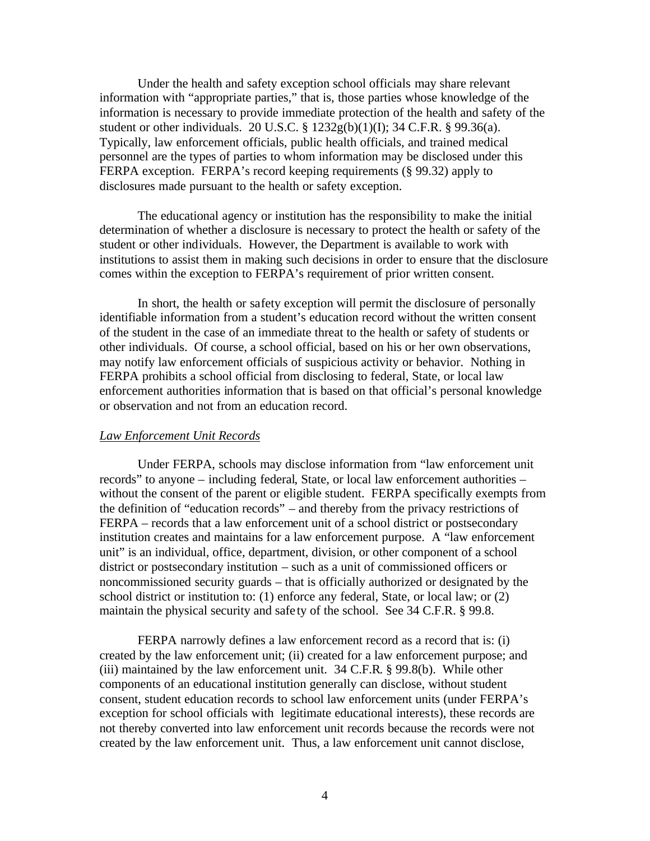Under the health and safety exception school officials may share relevant information with "appropriate parties," that is, those parties whose knowledge of the information is necessary to provide immediate protection of the health and safety of the student or other individuals. 20 U.S.C. § 1232g(b)(1)(I); 34 C.F.R. § 99.36(a). Typically, law enforcement officials, public health officials, and trained medical personnel are the types of parties to whom information may be disclosed under this FERPA exception. FERPA's record keeping requirements (§ 99.32) apply to disclosures made pursuant to the health or safety exception.

The educational agency or institution has the responsibility to make the initial determination of whether a disclosure is necessary to protect the health or safety of the student or other individuals. However, the Department is available to work with institutions to assist them in making such decisions in order to ensure that the disclosure comes within the exception to FERPA's requirement of prior written consent.

In short, the health or safety exception will permit the disclosure of personally identifiable information from a student's education record without the written consent of the student in the case of an immediate threat to the health or safety of students or other individuals. Of course, a school official, based on his or her own observations, may notify law enforcement officials of suspicious activity or behavior. Nothing in FERPA prohibits a school official from disclosing to federal, State, or local law enforcement authorities information that is based on that official's personal knowledge or observation and not from an education record.

### *Law Enforcement Unit Records*

Under FERPA, schools may disclose information from "law enforcement unit records" to anyone – including federal, State, or local law enforcement authorities – without the consent of the parent or eligible student. FERPA specifically exempts from the definition of "education records" – and thereby from the privacy restrictions of FERPA – records that a law enforcement unit of a school district or postsecondary institution creates and maintains for a law enforcement purpose. A "law enforcement unit" is an individual, office, department, division, or other component of a school district or postsecondary institution – such as a unit of commissioned officers or noncommissioned security guards – that is officially authorized or designated by the school district or institution to: (1) enforce any federal, State, or local law; or (2) maintain the physical security and safe ty of the school. See 34 C.F.R. § 99.8.

FERPA narrowly defines a law enforcement record as a record that is: (i) created by the law enforcement unit; (ii) created for a law enforcement purpose; and (iii) maintained by the law enforcement unit. 34 C.F.R. § 99.8(b). While other components of an educational institution generally can disclose, without student consent, student education records to school law enforcement units (under FERPA's exception for school officials with legitimate educational interests), these records are not thereby converted into law enforcement unit records because the records were not created by the law enforcement unit. Thus, a law enforcement unit cannot disclose,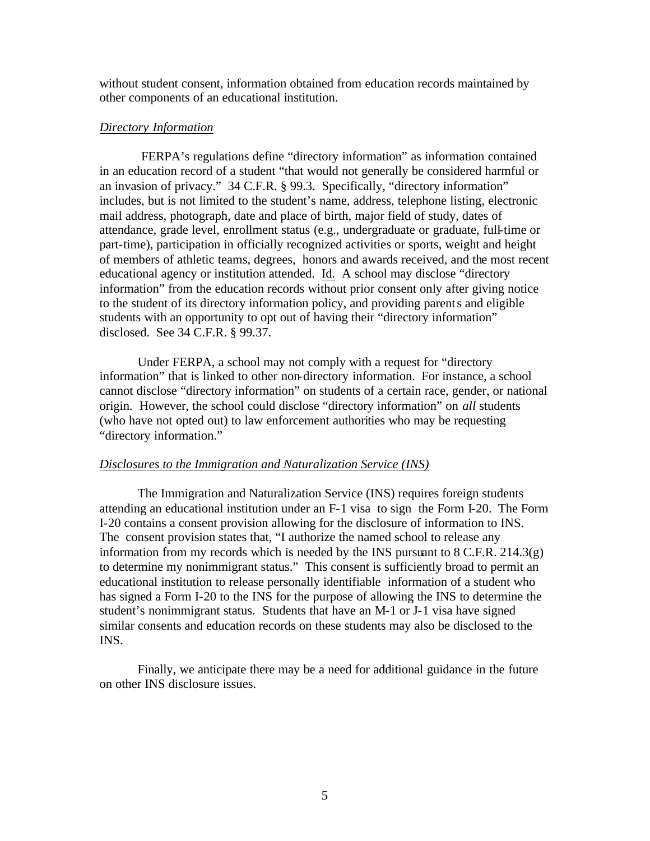without student consent, information obtained from education records maintained by other components of an educational institution.

#### *Directory Information*

FERPA's regulations define "directory information" as information contained in an education record of a student "that would not generally be considered harmful or an invasion of privacy." 34 C.F.R. § 99.3. Specifically, "directory information" includes, but is not limited to the student's name, address, telephone listing, electronic mail address, photograph, date and place of birth, major field of study, dates of attendance, grade level, enrollment status (e.g., undergraduate or graduate, full-time or part-time), participation in officially recognized activities or sports, weight and height of members of athletic teams, degrees, honors and awards received, and the most recent educational agency or institution attended. Id. A school may disclose "directory information" from the education records without prior consent only after giving notice to the student of its directory information policy, and providing parents and eligible students with an opportunity to opt out of having their "directory information" disclosed. See 34 C.F.R. § 99.37.

Under FERPA, a school may not comply with a request for "directory information" that is linked to other non-directory information. For instance, a school cannot disclose "directory information" on students of a certain race, gender, or national origin. However, the school could disclose "directory information" on *all* students (who have not opted out) to law enforcement authorities who may be requesting "directory information."

#### *Disclosures to the Immigration and Naturalization Service (INS)*

The Immigration and Naturalization Service (INS) requires foreign students attending an educational institution under an F-1 visa to sign the Form I-20. The Form I-20 contains a consent provision allowing for the disclosure of information to INS. The consent provision states that, "I authorize the named school to release any information from my records which is needed by the INS pursuant to  $8 \text{ C.F.R. } 214.3(g)$ to determine my nonimmigrant status." This consent is sufficiently broad to permit an educational institution to release personally identifiable information of a student who has signed a Form I-20 to the INS for the purpose of allowing the INS to determine the student's nonimmigrant status. Students that have an M-1 or J-1 visa have signed similar consents and education records on these students may also be disclosed to the INS.

Finally, we anticipate there may be a need for additional guidance in the future on other INS disclosure issues.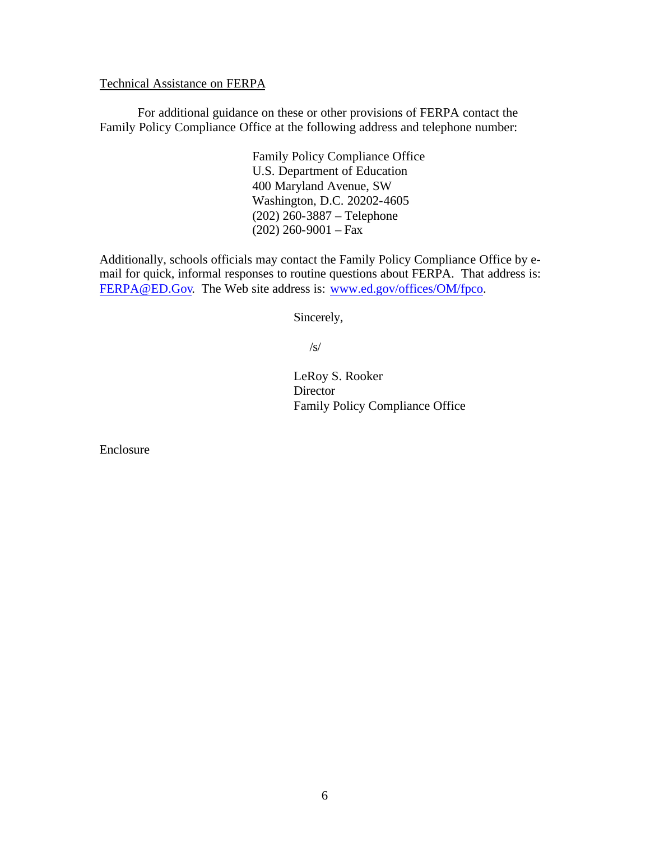Technical Assistance on FERPA

For additional guidance on these or other provisions of FERPA contact the Family Policy Compliance Office at the following address and telephone number:

> Family Policy Compliance Office U.S. Department of Education 400 Maryland Avenue, SW Washington, D.C. 20202-4605 (202) 260-3887 – Telephone  $(202)$  260-9001 – Fax

Additionally, schools officials may contact the Family Policy Compliance Office by email for quick, informal responses to routine questions about FERPA. That address is: FERPA@ED.Gov. The Web site address is: www.ed.gov/offices/OM/fpco.

Sincerely,

/s/

LeRoy S. Rooker Director Family Policy Compliance Office

Enclosure